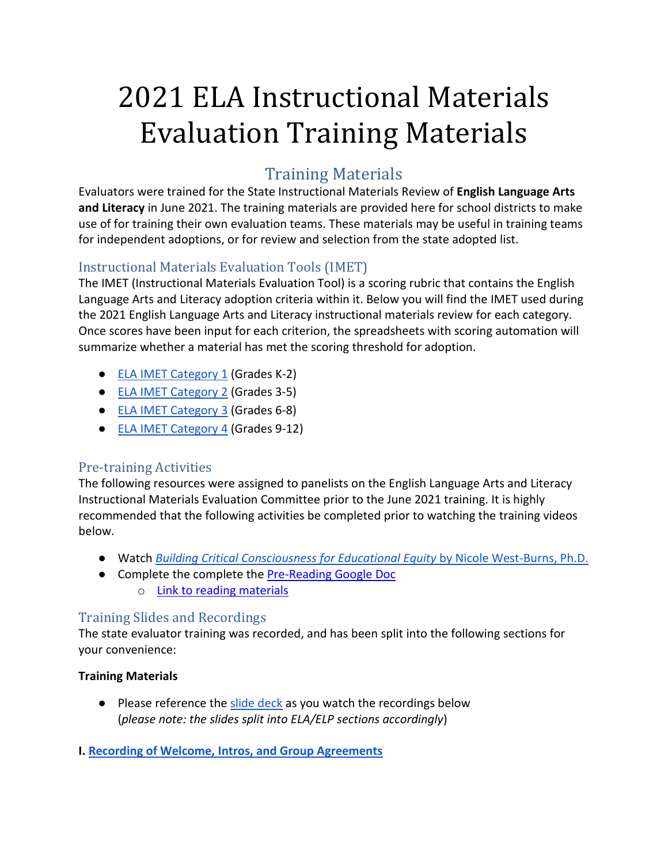# 2021 ELA Instructional Materials Evaluation Training Materials

# Training Materials

Evaluators were trained for the State Instructional Materials Review of **English Language Arts and Literacy** in June 2021. The training materials are provided here for school districts to make use of for training their own evaluation teams. These materials may be useful in training teams for independent adoptions, or for review and selection from the state adopted list.

## Instructional Materials Evaluation Tools (IMET)

The IMET (Instructional Materials Evaluation Tool) is a scoring rubric that contains the English Language Arts and Literacy adoption criteria within it. Below you will find the IMET used during the 2021 English Language Arts and Literacy instructional materials review for each category. Once scores have been input for each criterion, the spreadsheets with scoring automation will summarize whether a material has met the scoring threshold for adoption.

- [ELA IMET Category 1](https://www.oregon.gov/ode/educator-resources/teachingcontent/instructional-materials/SiteAssets/Lists/English%20Language%20Arts%20%20English%20Language%20Proficienc/AllItems/Category%201%20ELA%20IMET%20with%20formulas.xlsx) (Grades K-2)
- **[ELA IMET Category 2](https://www.oregon.gov/ode/educator-resources/teachingcontent/instructional-materials/SiteAssets/Lists/English%20Language%20Arts%20%20English%20Language%20Proficienc/AllItems/Category%202%20ELA%20IMET%20with%20formulas.xlsx) (Grades 3-5)**
- [ELA IMET Category 3](https://www.oregon.gov/ode/educator-resources/teachingcontent/instructional-materials/SiteAssets/Lists/English%20Language%20Arts%20%20English%20Language%20Proficienc/AllItems/Category%203%20ELA%20IMET%20with%20formulas.xlsx) (Grades 6-8)
- [ELA IMET Category 4](https://www.oregon.gov/ode/educator-resources/teachingcontent/instructional-materials/SiteAssets/Lists/English%20Language%20Arts%20%20English%20Language%20Proficienc/AllItems/Category%204%20ELA%20IMET%20with%20formulas.xlsx) (Grades 9-12)

#### Pre-training Activities

The following resources were assigned to panelists on the English Language Arts and Literacy Instructional Materials Evaluation Committee prior to the June 2021 training. It is highly recommended that the following activities be completed prior to watching the training videos below.

- Watch *[Building Critical Consciousness for Educational Equity](https://www.youtube.com/watch?v=evndCfQ92s4)* [by Nicole West-Burns, Ph.D.](https://www.youtube.com/watch?v=evndCfQ92s4)
- Complete the complete the [Pre-Reading Google Doc](https://docs.google.com/document/d/18K0LKTimANtLFADbTzEynGSxlo8kv1Z_/copy) o [Link to reading materials](https://blogs.lanecc.edu/engaging-diversity/wp-content/uploads/sites/76/2015/02/Privilege-Oppression-and-Difference.pdf)

## Training Slides and Recordings

The state evaluator training was recorded, and has been split into the following sections for your convenience:

#### **Training Materials**

● Please reference the slide deck as you watch the recordings below (*please note: the slides split into ELA/ELP sections accordingly*)

#### **I. [Recording of Welcome, Intros, and Group Agreements](https://youtu.be/_9E4fIhnAe8)**